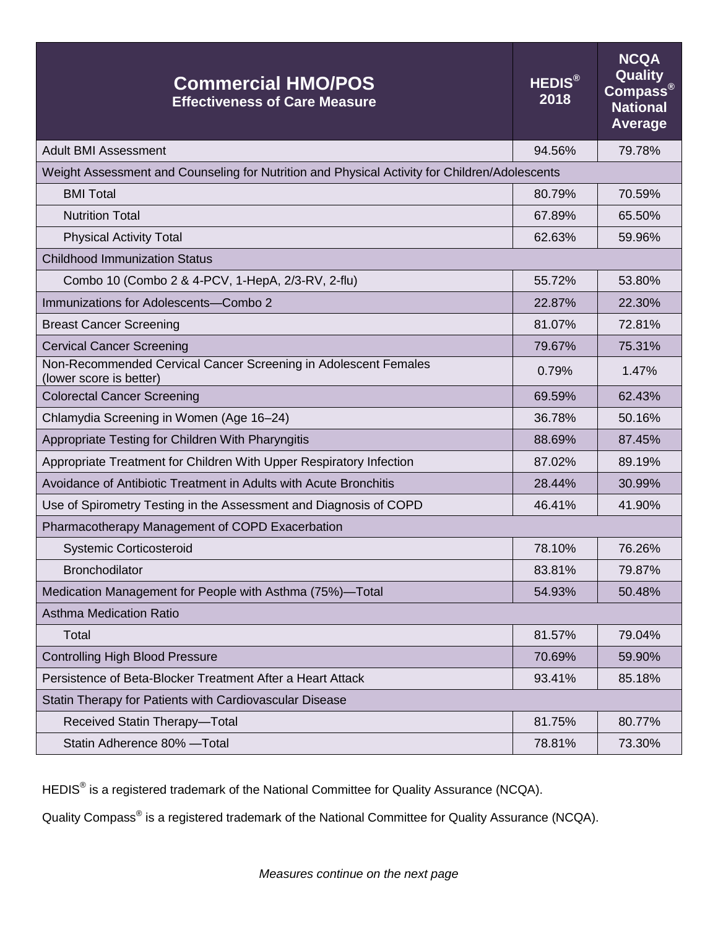| <b>Commercial HMO/POS</b><br><b>Effectiveness of Care Measure</b>                             | <b>HEDIS®</b><br>2018 | <b>NCQA</b><br>Quality<br>$\overline{\mathsf{Compass}^\circ}$<br><b>National</b><br><b>Average</b> |
|-----------------------------------------------------------------------------------------------|-----------------------|----------------------------------------------------------------------------------------------------|
| <b>Adult BMI Assessment</b>                                                                   | 94.56%                | 79.78%                                                                                             |
| Weight Assessment and Counseling for Nutrition and Physical Activity for Children/Adolescents |                       |                                                                                                    |
| <b>BMI Total</b>                                                                              | 80.79%                | 70.59%                                                                                             |
| <b>Nutrition Total</b>                                                                        | 67.89%                | 65.50%                                                                                             |
| <b>Physical Activity Total</b>                                                                | 62.63%                | 59.96%                                                                                             |
| <b>Childhood Immunization Status</b>                                                          |                       |                                                                                                    |
| Combo 10 (Combo 2 & 4-PCV, 1-HepA, 2/3-RV, 2-flu)                                             | 55.72%                | 53.80%                                                                                             |
| Immunizations for Adolescents-Combo 2                                                         | 22.87%                | 22.30%                                                                                             |
| <b>Breast Cancer Screening</b>                                                                | 81.07%                | 72.81%                                                                                             |
| <b>Cervical Cancer Screening</b>                                                              | 79.67%                | 75.31%                                                                                             |
| Non-Recommended Cervical Cancer Screening in Adolescent Females<br>(lower score is better)    | 0.79%                 | 1.47%                                                                                              |
| <b>Colorectal Cancer Screening</b>                                                            | 69.59%                | 62.43%                                                                                             |
| Chlamydia Screening in Women (Age 16-24)                                                      | 36.78%                | 50.16%                                                                                             |
| Appropriate Testing for Children With Pharyngitis                                             | 88.69%                | 87.45%                                                                                             |
| Appropriate Treatment for Children With Upper Respiratory Infection                           | 87.02%                | 89.19%                                                                                             |
| Avoidance of Antibiotic Treatment in Adults with Acute Bronchitis                             | 28.44%                | 30.99%                                                                                             |
| Use of Spirometry Testing in the Assessment and Diagnosis of COPD                             | 46.41%                | 41.90%                                                                                             |
| Pharmacotherapy Management of COPD Exacerbation                                               |                       |                                                                                                    |
| <b>Systemic Corticosteroid</b>                                                                | 78.10%                | 76.26%                                                                                             |
| <b>Bronchodilator</b>                                                                         | 83.81%                | 79.87%                                                                                             |
| Medication Management for People with Asthma (75%)-Total                                      | 54.93%                | 50.48%                                                                                             |
| <b>Asthma Medication Ratio</b>                                                                |                       |                                                                                                    |
| Total                                                                                         | 81.57%                | 79.04%                                                                                             |
| <b>Controlling High Blood Pressure</b>                                                        | 70.69%                | 59.90%                                                                                             |
| Persistence of Beta-Blocker Treatment After a Heart Attack                                    | 93.41%                | 85.18%                                                                                             |
| Statin Therapy for Patients with Cardiovascular Disease                                       |                       |                                                                                                    |
| Received Statin Therapy-Total                                                                 | 81.75%                | 80.77%                                                                                             |
| Statin Adherence 80% -Total                                                                   | 78.81%                | 73.30%                                                                                             |

HEDIS<sup>®</sup> is a registered trademark of the National Committee for Quality Assurance (NCQA).

Quality Compass<sup>®</sup> is a registered trademark of the National Committee for Quality Assurance (NCQA).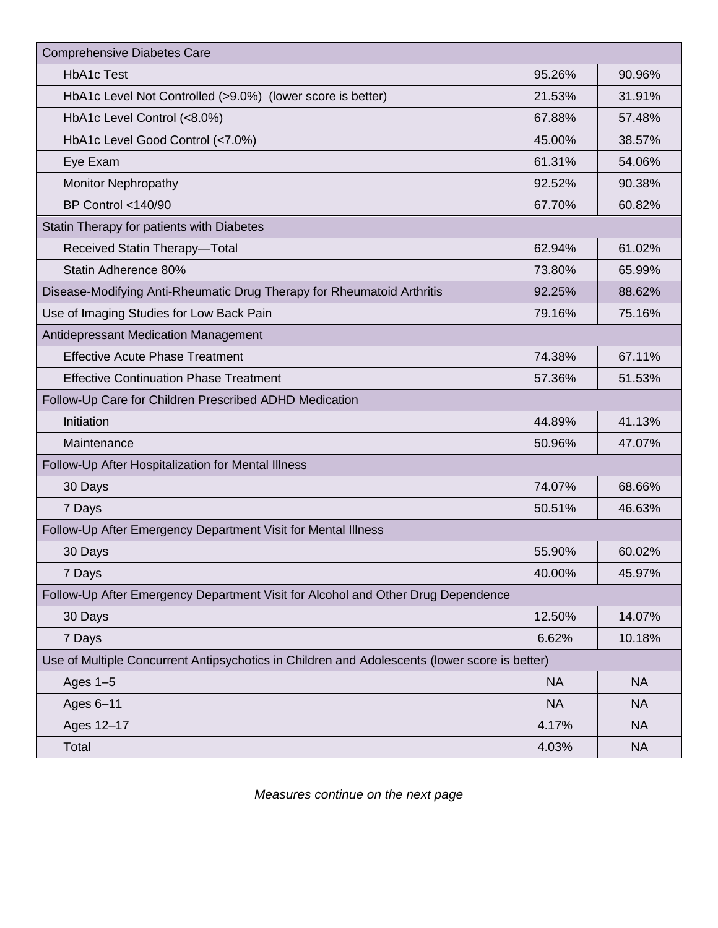| <b>Comprehensive Diabetes Care</b>                                                            |           |           |  |
|-----------------------------------------------------------------------------------------------|-----------|-----------|--|
| <b>HbA1c Test</b>                                                                             | 95.26%    | 90.96%    |  |
| HbA1c Level Not Controlled (>9.0%) (lower score is better)                                    | 21.53%    | 31.91%    |  |
| HbA1c Level Control (<8.0%)                                                                   | 67.88%    | 57.48%    |  |
| HbA1c Level Good Control (<7.0%)                                                              | 45.00%    | 38.57%    |  |
| Eye Exam                                                                                      | 61.31%    | 54.06%    |  |
| <b>Monitor Nephropathy</b>                                                                    | 92.52%    | 90.38%    |  |
| <b>BP Control &lt;140/90</b>                                                                  | 67.70%    | 60.82%    |  |
| Statin Therapy for patients with Diabetes                                                     |           |           |  |
| Received Statin Therapy-Total                                                                 | 62.94%    | 61.02%    |  |
| Statin Adherence 80%                                                                          | 73.80%    | 65.99%    |  |
| Disease-Modifying Anti-Rheumatic Drug Therapy for Rheumatoid Arthritis                        | 92.25%    | 88.62%    |  |
| Use of Imaging Studies for Low Back Pain                                                      | 79.16%    | 75.16%    |  |
| Antidepressant Medication Management                                                          |           |           |  |
| <b>Effective Acute Phase Treatment</b>                                                        | 74.38%    | 67.11%    |  |
| <b>Effective Continuation Phase Treatment</b>                                                 | 57.36%    | 51.53%    |  |
| Follow-Up Care for Children Prescribed ADHD Medication                                        |           |           |  |
| Initiation                                                                                    | 44.89%    | 41.13%    |  |
| Maintenance                                                                                   | 50.96%    | 47.07%    |  |
| Follow-Up After Hospitalization for Mental Illness                                            |           |           |  |
| 30 Days                                                                                       | 74.07%    | 68.66%    |  |
| 7 Days                                                                                        | 50.51%    | 46.63%    |  |
| Follow-Up After Emergency Department Visit for Mental Illness                                 |           |           |  |
| 30 Days                                                                                       | 55.90%    | 60.02%    |  |
| 7 Days                                                                                        | 40.00%    | 45.97%    |  |
| Follow-Up After Emergency Department Visit for Alcohol and Other Drug Dependence              |           |           |  |
| 30 Days                                                                                       | 12.50%    | 14.07%    |  |
| 7 Days                                                                                        | 6.62%     | 10.18%    |  |
| Use of Multiple Concurrent Antipsychotics in Children and Adolescents (lower score is better) |           |           |  |
| Ages $1-5$                                                                                    | <b>NA</b> | <b>NA</b> |  |
| Ages 6-11                                                                                     | <b>NA</b> | <b>NA</b> |  |
| Ages 12-17                                                                                    | 4.17%     | <b>NA</b> |  |
| Total                                                                                         | 4.03%     | <b>NA</b> |  |

*Measures continue on the next page*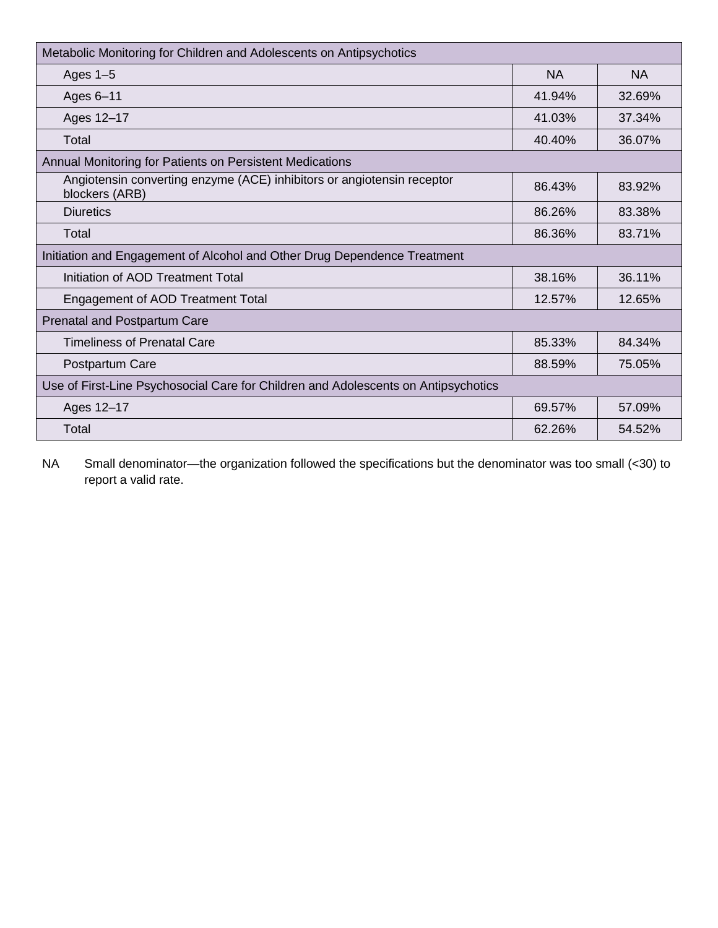| Metabolic Monitoring for Children and Adolescents on Antipsychotics                      |           |           |  |
|------------------------------------------------------------------------------------------|-----------|-----------|--|
| Ages $1-5$                                                                               | <b>NA</b> | <b>NA</b> |  |
| Ages 6-11                                                                                | 41.94%    | 32.69%    |  |
| Ages 12-17                                                                               | 41.03%    | 37.34%    |  |
| Total                                                                                    | 40.40%    | 36.07%    |  |
| Annual Monitoring for Patients on Persistent Medications                                 |           |           |  |
| Angiotensin converting enzyme (ACE) inhibitors or angiotensin receptor<br>blockers (ARB) | 86.43%    | 83.92%    |  |
| <b>Diuretics</b>                                                                         | 86.26%    | 83.38%    |  |
| Total                                                                                    | 86.36%    | 83.71%    |  |
| Initiation and Engagement of Alcohol and Other Drug Dependence Treatment                 |           |           |  |
| Initiation of AOD Treatment Total                                                        | 38.16%    | 36.11%    |  |
| <b>Engagement of AOD Treatment Total</b>                                                 | 12.57%    | 12.65%    |  |
| <b>Prenatal and Postpartum Care</b>                                                      |           |           |  |
| <b>Timeliness of Prenatal Care</b>                                                       | 85.33%    | 84.34%    |  |
| Postpartum Care                                                                          | 88.59%    | 75.05%    |  |
| Use of First-Line Psychosocial Care for Children and Adolescents on Antipsychotics       |           |           |  |
| Ages 12-17                                                                               | 69.57%    | 57.09%    |  |
| Total                                                                                    | 62.26%    | 54.52%    |  |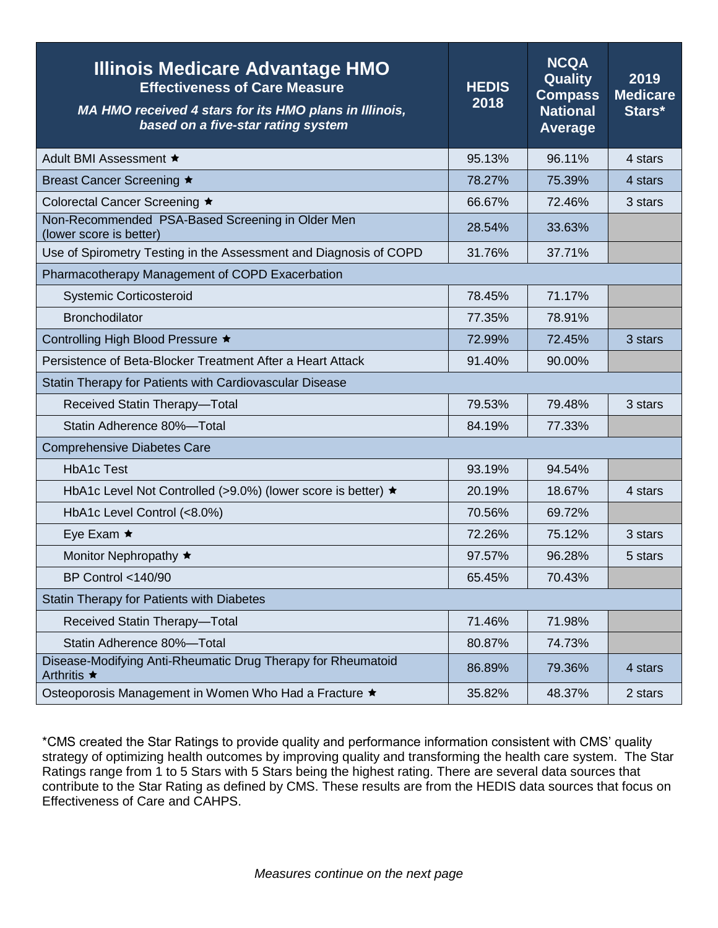| <b>Illinois Medicare Advantage HMO</b><br><b>Effectiveness of Care Measure</b><br>MA HMO received 4 stars for its HMO plans in Illinois,<br>based on a five-star rating system | <b>HEDIS</b><br>2018 | <b>NCQA</b><br>Quality<br><b>Compass</b><br><b>National</b><br><b>Average</b> | 2019<br><b>Medicare</b><br>Stars* |
|--------------------------------------------------------------------------------------------------------------------------------------------------------------------------------|----------------------|-------------------------------------------------------------------------------|-----------------------------------|
| Adult BMI Assessment ★                                                                                                                                                         | 95.13%               | 96.11%                                                                        | 4 stars                           |
| Breast Cancer Screening ★                                                                                                                                                      | 78.27%               | 75.39%                                                                        | 4 stars                           |
| Colorectal Cancer Screening ★                                                                                                                                                  | 66.67%               | 72.46%                                                                        | 3 stars                           |
| Non-Recommended PSA-Based Screening in Older Men<br>(lower score is better)                                                                                                    | 28.54%               | 33.63%                                                                        |                                   |
| Use of Spirometry Testing in the Assessment and Diagnosis of COPD                                                                                                              | 31.76%               | 37.71%                                                                        |                                   |
| Pharmacotherapy Management of COPD Exacerbation                                                                                                                                |                      |                                                                               |                                   |
| <b>Systemic Corticosteroid</b>                                                                                                                                                 | 78.45%               | 71.17%                                                                        |                                   |
| <b>Bronchodilator</b>                                                                                                                                                          | 77.35%               | 78.91%                                                                        |                                   |
| Controlling High Blood Pressure ★                                                                                                                                              | 72.99%               | 72.45%                                                                        | 3 stars                           |
| Persistence of Beta-Blocker Treatment After a Heart Attack                                                                                                                     | 91.40%               | 90.00%                                                                        |                                   |
| Statin Therapy for Patients with Cardiovascular Disease                                                                                                                        |                      |                                                                               |                                   |
| Received Statin Therapy-Total                                                                                                                                                  | 79.53%               | 79.48%                                                                        | 3 stars                           |
| Statin Adherence 80%-Total                                                                                                                                                     | 84.19%               | 77.33%                                                                        |                                   |
| <b>Comprehensive Diabetes Care</b>                                                                                                                                             |                      |                                                                               |                                   |
| <b>HbA1c Test</b>                                                                                                                                                              | 93.19%               | 94.54%                                                                        |                                   |
| HbA1c Level Not Controlled (>9.0%) (lower score is better) ★                                                                                                                   | 20.19%               | 18.67%                                                                        | 4 stars                           |
| HbA1c Level Control (<8.0%)                                                                                                                                                    | 70.56%               | 69.72%                                                                        |                                   |
| Eye Exam $\star$                                                                                                                                                               | 72.26%               | 75.12%                                                                        | 3 stars                           |
| Monitor Nephropathy ★                                                                                                                                                          | 97.57%               | 96.28%                                                                        | 5 stars                           |
| <b>BP Control &lt;140/90</b>                                                                                                                                                   | 65.45%               | 70.43%                                                                        |                                   |
| Statin Therapy for Patients with Diabetes                                                                                                                                      |                      |                                                                               |                                   |
| Received Statin Therapy-Total                                                                                                                                                  | 71.46%               | 71.98%                                                                        |                                   |
| Statin Adherence 80%-Total                                                                                                                                                     | 80.87%               | 74.73%                                                                        |                                   |
| Disease-Modifying Anti-Rheumatic Drug Therapy for Rheumatoid<br>Arthritis ★                                                                                                    | 86.89%               | 79.36%                                                                        | 4 stars                           |
| Osteoporosis Management in Women Who Had a Fracture ★                                                                                                                          | 35.82%               | 48.37%                                                                        | 2 stars                           |

\*CMS created the Star Ratings to provide quality and performance information consistent with CMS' quality strategy of optimizing health outcomes by improving quality and transforming the health care system. The Star Ratings range from 1 to 5 Stars with 5 Stars being the highest rating. There are several data sources that contribute to the Star Rating as defined by CMS. These results are from the HEDIS data sources that focus on Effectiveness of Care and CAHPS.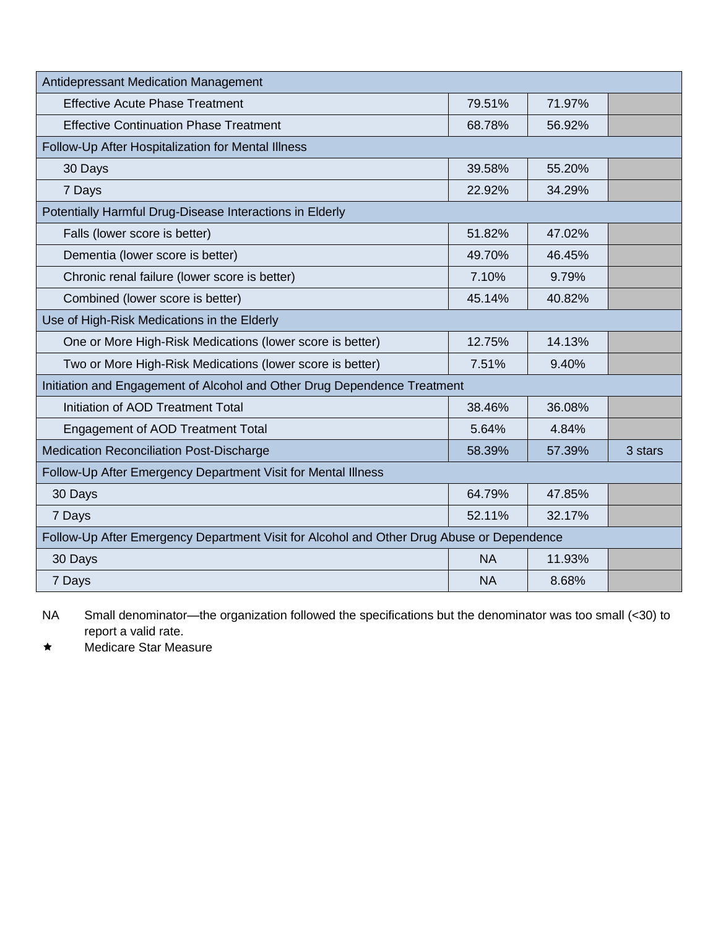| Antidepressant Medication Management                                                      |           |        |         |
|-------------------------------------------------------------------------------------------|-----------|--------|---------|
| <b>Effective Acute Phase Treatment</b>                                                    | 79.51%    | 71.97% |         |
| <b>Effective Continuation Phase Treatment</b>                                             | 68.78%    | 56.92% |         |
| Follow-Up After Hospitalization for Mental Illness                                        |           |        |         |
| 30 Days                                                                                   | 39.58%    | 55.20% |         |
| 7 Days                                                                                    | 22.92%    | 34.29% |         |
| Potentially Harmful Drug-Disease Interactions in Elderly                                  |           |        |         |
| Falls (lower score is better)                                                             | 51.82%    | 47.02% |         |
| Dementia (lower score is better)                                                          | 49.70%    | 46.45% |         |
| Chronic renal failure (lower score is better)                                             | 7.10%     | 9.79%  |         |
| Combined (lower score is better)                                                          | 45.14%    | 40.82% |         |
| Use of High-Risk Medications in the Elderly                                               |           |        |         |
| One or More High-Risk Medications (lower score is better)                                 | 12.75%    | 14.13% |         |
| Two or More High-Risk Medications (lower score is better)                                 | 7.51%     | 9.40%  |         |
| Initiation and Engagement of Alcohol and Other Drug Dependence Treatment                  |           |        |         |
| Initiation of AOD Treatment Total                                                         | 38.46%    | 36.08% |         |
| <b>Engagement of AOD Treatment Total</b>                                                  | 5.64%     | 4.84%  |         |
| <b>Medication Reconciliation Post-Discharge</b>                                           | 58.39%    | 57.39% | 3 stars |
| Follow-Up After Emergency Department Visit for Mental Illness                             |           |        |         |
| 30 Days                                                                                   | 64.79%    | 47.85% |         |
| 7 Days                                                                                    | 52.11%    | 32.17% |         |
| Follow-Up After Emergency Department Visit for Alcohol and Other Drug Abuse or Dependence |           |        |         |
| 30 Days                                                                                   | <b>NA</b> | 11.93% |         |
| 7 Days                                                                                    | <b>NA</b> | 8.68%  |         |

\* Medicare Star Measure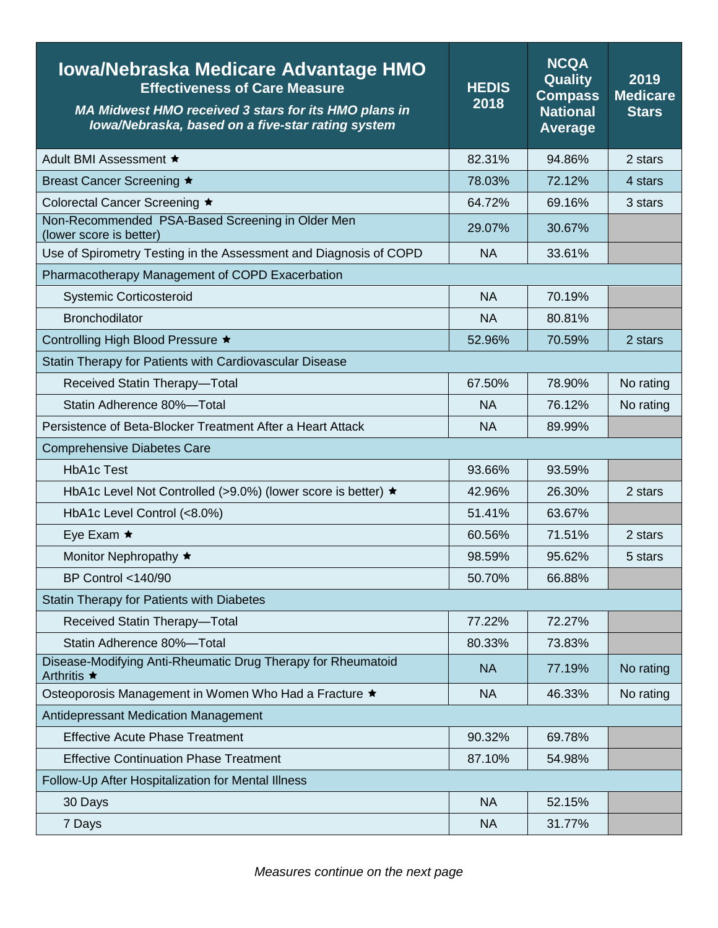| <b>Iowa/Nebraska Medicare Advantage HMO</b><br><b>Effectiveness of Care Measure</b><br><b>MA Midwest HMO received 3 stars for its HMO plans in</b><br>lowa/Nebraska, based on a five-star rating system | <b>HEDIS</b><br>2018 | <b>NCQA</b><br>Quality<br><b>Compass</b><br><b>National</b><br><b>Average</b> | 2019<br><b>Medicare</b><br><b>Stars</b> |
|---------------------------------------------------------------------------------------------------------------------------------------------------------------------------------------------------------|----------------------|-------------------------------------------------------------------------------|-----------------------------------------|
| Adult BMI Assessment ★                                                                                                                                                                                  | 82.31%               | 94.86%                                                                        | 2 stars                                 |
| Breast Cancer Screening ★                                                                                                                                                                               | 78.03%               | 72.12%                                                                        | 4 stars                                 |
| Colorectal Cancer Screening ★                                                                                                                                                                           | 64.72%               | 69.16%                                                                        | 3 stars                                 |
| Non-Recommended PSA-Based Screening in Older Men<br>(lower score is better)                                                                                                                             | 29.07%               | 30.67%                                                                        |                                         |
| Use of Spirometry Testing in the Assessment and Diagnosis of COPD                                                                                                                                       | <b>NA</b>            | 33.61%                                                                        |                                         |
| Pharmacotherapy Management of COPD Exacerbation                                                                                                                                                         |                      |                                                                               |                                         |
| <b>Systemic Corticosteroid</b>                                                                                                                                                                          | <b>NA</b>            | 70.19%                                                                        |                                         |
| <b>Bronchodilator</b>                                                                                                                                                                                   | <b>NA</b>            | 80.81%                                                                        |                                         |
| Controlling High Blood Pressure ★                                                                                                                                                                       | 52.96%               | 70.59%                                                                        | 2 stars                                 |
| Statin Therapy for Patients with Cardiovascular Disease                                                                                                                                                 |                      |                                                                               |                                         |
| Received Statin Therapy-Total                                                                                                                                                                           | 67.50%               | 78.90%                                                                        | No rating                               |
| Statin Adherence 80%-Total                                                                                                                                                                              | <b>NA</b>            | 76.12%                                                                        | No rating                               |
| Persistence of Beta-Blocker Treatment After a Heart Attack                                                                                                                                              | <b>NA</b>            | 89.99%                                                                        |                                         |
| <b>Comprehensive Diabetes Care</b>                                                                                                                                                                      |                      |                                                                               |                                         |
| <b>HbA1c Test</b>                                                                                                                                                                                       | 93.66%               | 93.59%                                                                        |                                         |
| HbA1c Level Not Controlled (>9.0%) (lower score is better) ★                                                                                                                                            | 42.96%               | 26.30%                                                                        | 2 stars                                 |
| HbA1c Level Control (<8.0%)                                                                                                                                                                             | 51.41%               | 63.67%                                                                        |                                         |
| Eye Exam $\star$                                                                                                                                                                                        | 60.56%               | 71.51%                                                                        | 2 stars                                 |
| Monitor Nephropathy ★                                                                                                                                                                                   | 98.59%               | 95.62%                                                                        | 5 stars                                 |
| <b>BP Control &lt;140/90</b>                                                                                                                                                                            | 50.70%               | 66.88%                                                                        |                                         |
| Statin Therapy for Patients with Diabetes                                                                                                                                                               |                      |                                                                               |                                         |
| Received Statin Therapy-Total                                                                                                                                                                           | 77.22%               | 72.27%                                                                        |                                         |
| Statin Adherence 80%-Total                                                                                                                                                                              | 80.33%               | 73.83%                                                                        |                                         |
| Disease-Modifying Anti-Rheumatic Drug Therapy for Rheumatoid<br>Arthritis ★                                                                                                                             | <b>NA</b>            | 77.19%                                                                        | No rating                               |
| Osteoporosis Management in Women Who Had a Fracture ★                                                                                                                                                   | <b>NA</b>            | 46.33%                                                                        | No rating                               |
| Antidepressant Medication Management                                                                                                                                                                    |                      |                                                                               |                                         |
| <b>Effective Acute Phase Treatment</b>                                                                                                                                                                  | 90.32%               | 69.78%                                                                        |                                         |
| <b>Effective Continuation Phase Treatment</b>                                                                                                                                                           | 87.10%               | 54.98%                                                                        |                                         |
| Follow-Up After Hospitalization for Mental Illness                                                                                                                                                      |                      |                                                                               |                                         |
| 30 Days                                                                                                                                                                                                 | <b>NA</b>            | 52.15%                                                                        |                                         |
| 7 Days                                                                                                                                                                                                  | <b>NA</b>            | 31.77%                                                                        |                                         |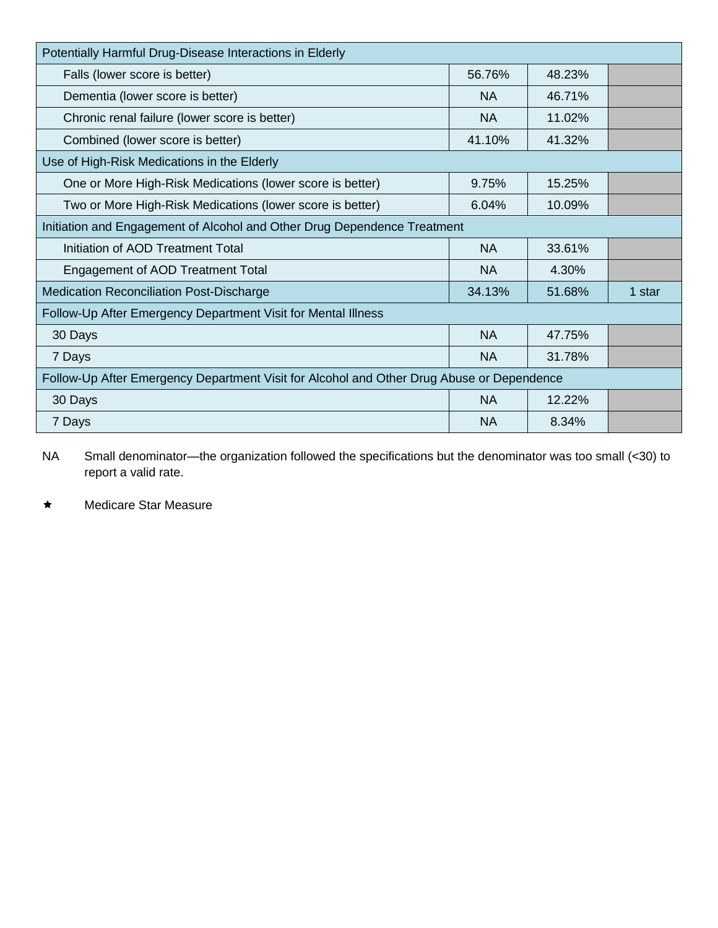| Potentially Harmful Drug-Disease Interactions in Elderly                                  |           |        |        |
|-------------------------------------------------------------------------------------------|-----------|--------|--------|
| Falls (lower score is better)                                                             | 56.76%    | 48.23% |        |
| Dementia (lower score is better)                                                          | <b>NA</b> | 46.71% |        |
| Chronic renal failure (lower score is better)                                             | <b>NA</b> | 11.02% |        |
| Combined (lower score is better)                                                          | 41.10%    | 41.32% |        |
| Use of High-Risk Medications in the Elderly                                               |           |        |        |
| One or More High-Risk Medications (lower score is better)                                 | 9.75%     | 15.25% |        |
| Two or More High-Risk Medications (lower score is better)                                 | 6.04%     | 10.09% |        |
| Initiation and Engagement of Alcohol and Other Drug Dependence Treatment                  |           |        |        |
| Initiation of AOD Treatment Total                                                         | <b>NA</b> | 33.61% |        |
| <b>Engagement of AOD Treatment Total</b>                                                  | NA        | 4.30%  |        |
| <b>Medication Reconciliation Post-Discharge</b>                                           | 34.13%    | 51.68% | 1 star |
| Follow-Up After Emergency Department Visit for Mental Illness                             |           |        |        |
| 30 Days                                                                                   | <b>NA</b> | 47.75% |        |
| 7 Days                                                                                    | <b>NA</b> | 31.78% |        |
| Follow-Up After Emergency Department Visit for Alcohol and Other Drug Abuse or Dependence |           |        |        |
| 30 Days                                                                                   | <b>NA</b> | 12.22% |        |
| 7 Days                                                                                    | <b>NA</b> | 8.34%  |        |

\* Medicare Star Measure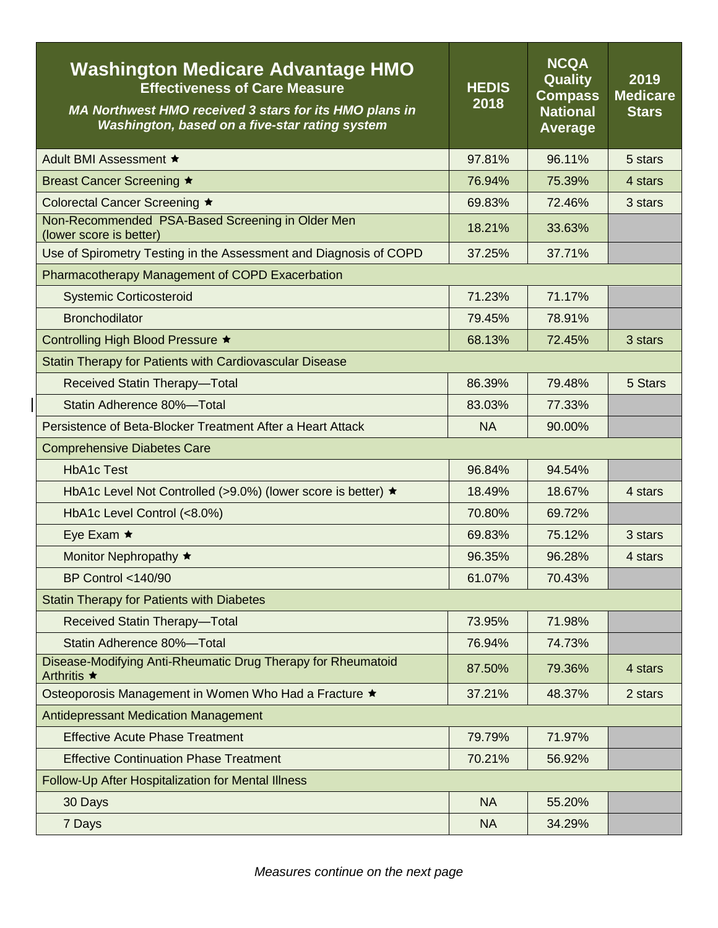| <b>Washington Medicare Advantage HMO</b><br><b>Effectiveness of Care Measure</b><br>MA Northwest HMO received 3 stars for its HMO plans in<br>Washington, based on a five-star rating system | <b>HEDIS</b><br>2018 | <b>NCQA</b><br>Quality<br><b>Compass</b><br><b>National</b><br><b>Average</b> | 2019<br><b>Medicare</b><br><b>Stars</b> |
|----------------------------------------------------------------------------------------------------------------------------------------------------------------------------------------------|----------------------|-------------------------------------------------------------------------------|-----------------------------------------|
| Adult BMI Assessment ★                                                                                                                                                                       | 97.81%               | 96.11%                                                                        | 5 stars                                 |
| Breast Cancer Screening ★                                                                                                                                                                    | 76.94%               | 75.39%                                                                        | 4 stars                                 |
| Colorectal Cancer Screening ★                                                                                                                                                                | 69.83%               | 72.46%                                                                        | 3 stars                                 |
| Non-Recommended PSA-Based Screening in Older Men<br>(lower score is better)                                                                                                                  | 18.21%               | 33.63%                                                                        |                                         |
| Use of Spirometry Testing in the Assessment and Diagnosis of COPD                                                                                                                            | 37.25%               | 37.71%                                                                        |                                         |
| Pharmacotherapy Management of COPD Exacerbation                                                                                                                                              |                      |                                                                               |                                         |
| <b>Systemic Corticosteroid</b>                                                                                                                                                               | 71.23%               | 71.17%                                                                        |                                         |
| <b>Bronchodilator</b>                                                                                                                                                                        | 79.45%               | 78.91%                                                                        |                                         |
| Controlling High Blood Pressure ★                                                                                                                                                            | 68.13%               | 72.45%                                                                        | 3 stars                                 |
| Statin Therapy for Patients with Cardiovascular Disease                                                                                                                                      |                      |                                                                               |                                         |
| Received Statin Therapy-Total                                                                                                                                                                | 86.39%               | 79.48%                                                                        | 5 Stars                                 |
| Statin Adherence 80%-Total                                                                                                                                                                   | 83.03%               | 77.33%                                                                        |                                         |
| Persistence of Beta-Blocker Treatment After a Heart Attack                                                                                                                                   | <b>NA</b>            | 90.00%                                                                        |                                         |
| <b>Comprehensive Diabetes Care</b>                                                                                                                                                           |                      |                                                                               |                                         |
| <b>HbA1c Test</b>                                                                                                                                                                            | 96.84%               | 94.54%                                                                        |                                         |
| HbA1c Level Not Controlled (>9.0%) (lower score is better) ★                                                                                                                                 | 18.49%               | 18.67%                                                                        | 4 stars                                 |
| HbA1c Level Control (<8.0%)                                                                                                                                                                  | 70.80%               | 69.72%                                                                        |                                         |
| Eye Exam $\star$                                                                                                                                                                             | 69.83%               | 75.12%                                                                        | 3 stars                                 |
| Monitor Nephropathy ★                                                                                                                                                                        | 96.35%               | 96.28%                                                                        | 4 stars                                 |
| <b>BP Control &lt;140/90</b>                                                                                                                                                                 | 61.07%               | 70.43%                                                                        |                                         |
| <b>Statin Therapy for Patients with Diabetes</b>                                                                                                                                             |                      |                                                                               |                                         |
| Received Statin Therapy-Total                                                                                                                                                                | 73.95%               | 71.98%                                                                        |                                         |
| Statin Adherence 80%-Total                                                                                                                                                                   | 76.94%               | 74.73%                                                                        |                                         |
| Disease-Modifying Anti-Rheumatic Drug Therapy for Rheumatoid<br>Arthritis ★                                                                                                                  | 87.50%               | 79.36%                                                                        | 4 stars                                 |
| Osteoporosis Management in Women Who Had a Fracture ★                                                                                                                                        | 37.21%               | 48.37%                                                                        | 2 stars                                 |
| <b>Antidepressant Medication Management</b>                                                                                                                                                  |                      |                                                                               |                                         |
| <b>Effective Acute Phase Treatment</b>                                                                                                                                                       | 79.79%               | 71.97%                                                                        |                                         |
| <b>Effective Continuation Phase Treatment</b>                                                                                                                                                | 70.21%               | 56.92%                                                                        |                                         |
| Follow-Up After Hospitalization for Mental Illness                                                                                                                                           |                      |                                                                               |                                         |
| 30 Days                                                                                                                                                                                      | <b>NA</b>            | 55.20%                                                                        |                                         |
| 7 Days                                                                                                                                                                                       | <b>NA</b>            | 34.29%                                                                        |                                         |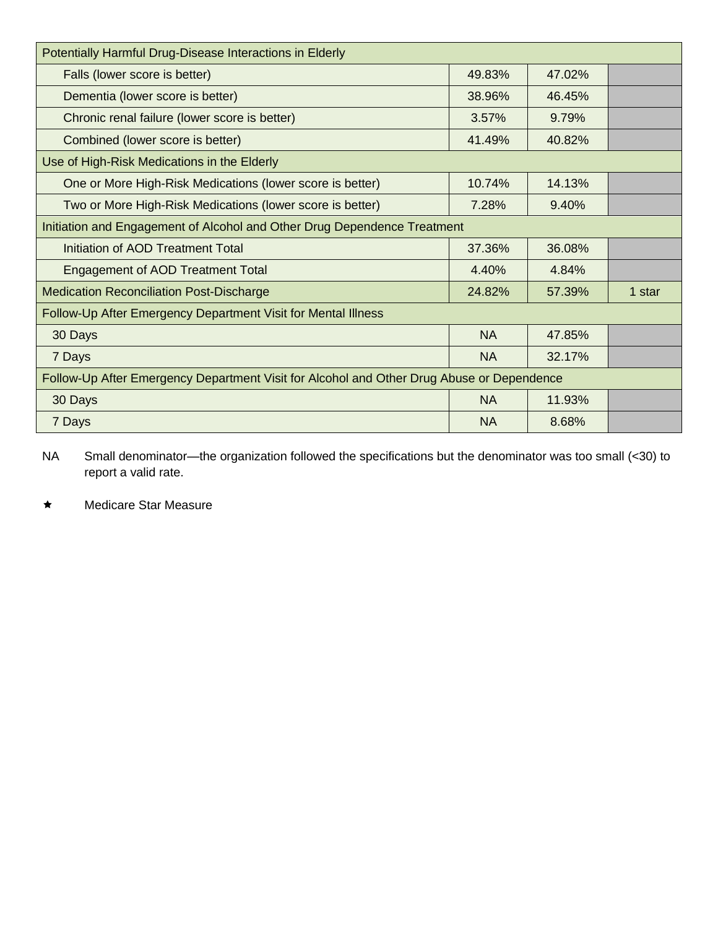| Potentially Harmful Drug-Disease Interactions in Elderly                                  |           |        |        |
|-------------------------------------------------------------------------------------------|-----------|--------|--------|
| Falls (lower score is better)                                                             | 49.83%    | 47.02% |        |
| Dementia (lower score is better)                                                          | 38.96%    | 46.45% |        |
| Chronic renal failure (lower score is better)                                             | 3.57%     | 9.79%  |        |
| Combined (lower score is better)                                                          | 41.49%    | 40.82% |        |
| Use of High-Risk Medications in the Elderly                                               |           |        |        |
| One or More High-Risk Medications (lower score is better)                                 | 10.74%    | 14.13% |        |
| Two or More High-Risk Medications (lower score is better)                                 | 7.28%     | 9.40%  |        |
| Initiation and Engagement of Alcohol and Other Drug Dependence Treatment                  |           |        |        |
| Initiation of AOD Treatment Total                                                         | 37.36%    | 36.08% |        |
| <b>Engagement of AOD Treatment Total</b>                                                  | 4.40%     | 4.84%  |        |
| <b>Medication Reconciliation Post-Discharge</b>                                           | 24.82%    | 57.39% | 1 star |
| Follow-Up After Emergency Department Visit for Mental Illness                             |           |        |        |
| 30 Days                                                                                   | <b>NA</b> | 47.85% |        |
| 7 Days                                                                                    | <b>NA</b> | 32.17% |        |
| Follow-Up After Emergency Department Visit for Alcohol and Other Drug Abuse or Dependence |           |        |        |
| 30 Days                                                                                   | <b>NA</b> | 11.93% |        |
| 7 Days                                                                                    | <b>NA</b> | 8.68%  |        |

\* Medicare Star Measure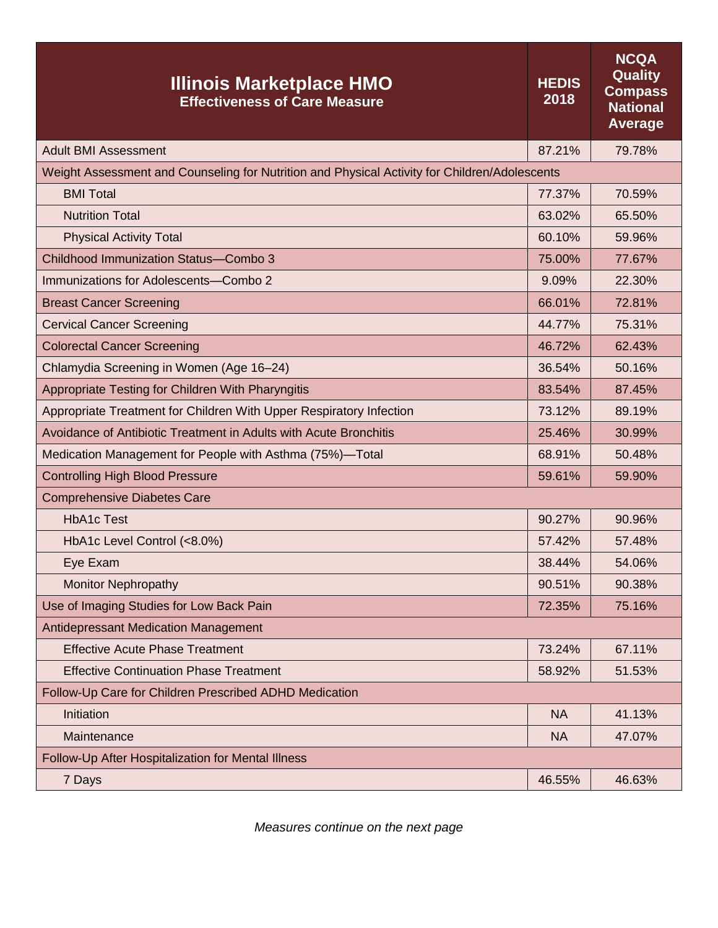| <b>Illinois Marketplace HMO</b><br><b>Effectiveness of Care Measure</b>                       | <b>HEDIS</b><br>2018 | <b>NCQA</b><br>Quality<br><b>Compass</b><br><b>National</b><br><b>Average</b> |
|-----------------------------------------------------------------------------------------------|----------------------|-------------------------------------------------------------------------------|
| <b>Adult BMI Assessment</b>                                                                   | 87.21%               | 79.78%                                                                        |
| Weight Assessment and Counseling for Nutrition and Physical Activity for Children/Adolescents |                      |                                                                               |
| <b>BMI Total</b>                                                                              | 77.37%               | 70.59%                                                                        |
| <b>Nutrition Total</b>                                                                        | 63.02%               | 65.50%                                                                        |
| <b>Physical Activity Total</b>                                                                | 60.10%               | 59.96%                                                                        |
| <b>Childhood Immunization Status-Combo 3</b>                                                  | 75.00%               | 77.67%                                                                        |
| Immunizations for Adolescents-Combo 2                                                         | 9.09%                | 22.30%                                                                        |
| <b>Breast Cancer Screening</b>                                                                | 66.01%               | 72.81%                                                                        |
| <b>Cervical Cancer Screening</b>                                                              | 44.77%               | 75.31%                                                                        |
| <b>Colorectal Cancer Screening</b>                                                            | 46.72%               | 62.43%                                                                        |
| Chlamydia Screening in Women (Age 16-24)                                                      | 36.54%               | 50.16%                                                                        |
| Appropriate Testing for Children With Pharyngitis                                             | 83.54%               | 87.45%                                                                        |
| Appropriate Treatment for Children With Upper Respiratory Infection                           | 73.12%               | 89.19%                                                                        |
| Avoidance of Antibiotic Treatment in Adults with Acute Bronchitis                             | 25.46%               | 30.99%                                                                        |
| Medication Management for People with Asthma (75%)-Total                                      | 68.91%               | 50.48%                                                                        |
| <b>Controlling High Blood Pressure</b>                                                        | 59.61%               | 59.90%                                                                        |
| <b>Comprehensive Diabetes Care</b>                                                            |                      |                                                                               |
| <b>HbA1c Test</b>                                                                             | 90.27%               | 90.96%                                                                        |
| HbA1c Level Control (<8.0%)                                                                   | 57.42%               | 57.48%                                                                        |
| Eye Exam                                                                                      | 38.44%               | 54.06%                                                                        |
| <b>Monitor Nephropathy</b>                                                                    | 90.51%               | 90.38%                                                                        |
| Use of Imaging Studies for Low Back Pain                                                      | 72.35%               | 75.16%                                                                        |
| Antidepressant Medication Management                                                          |                      |                                                                               |
| <b>Effective Acute Phase Treatment</b>                                                        | 73.24%               | 67.11%                                                                        |
| <b>Effective Continuation Phase Treatment</b>                                                 | 58.92%               | 51.53%                                                                        |
| Follow-Up Care for Children Prescribed ADHD Medication                                        |                      |                                                                               |
| Initiation                                                                                    | <b>NA</b>            | 41.13%                                                                        |
| Maintenance                                                                                   | <b>NA</b>            | 47.07%                                                                        |
| Follow-Up After Hospitalization for Mental Illness                                            |                      |                                                                               |
| 7 Days                                                                                        | 46.55%               | 46.63%                                                                        |

*Measures continue on the next page*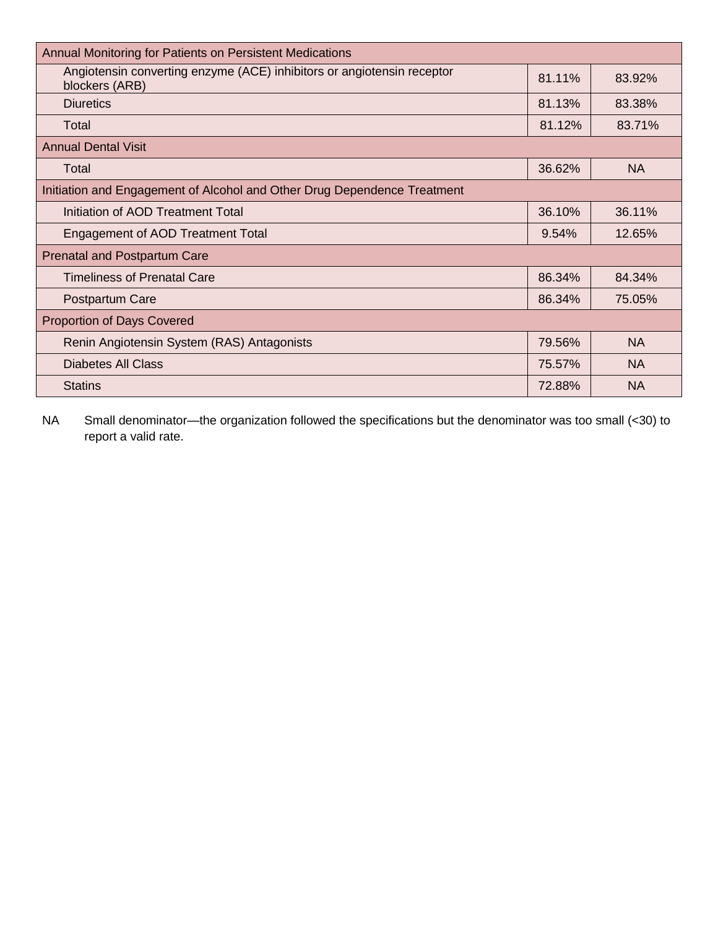| Annual Monitoring for Patients on Persistent Medications                                 |        |           |
|------------------------------------------------------------------------------------------|--------|-----------|
| Angiotensin converting enzyme (ACE) inhibitors or angiotensin receptor<br>blockers (ARB) | 81.11% | 83.92%    |
| <b>Diuretics</b>                                                                         | 81.13% | 83.38%    |
| Total                                                                                    | 81.12% | 83.71%    |
| <b>Annual Dental Visit</b>                                                               |        |           |
| Total                                                                                    | 36.62% | <b>NA</b> |
| Initiation and Engagement of Alcohol and Other Drug Dependence Treatment                 |        |           |
| Initiation of AOD Treatment Total                                                        | 36.10% | 36.11%    |
| <b>Engagement of AOD Treatment Total</b>                                                 | 9.54%  | 12.65%    |
| <b>Prenatal and Postpartum Care</b>                                                      |        |           |
| <b>Timeliness of Prenatal Care</b>                                                       | 86.34% | 84.34%    |
| Postpartum Care                                                                          | 86.34% | 75.05%    |
| <b>Proportion of Days Covered</b>                                                        |        |           |
| Renin Angiotensin System (RAS) Antagonists                                               | 79.56% | <b>NA</b> |
| Diabetes All Class                                                                       | 75.57% | NA        |
| <b>Statins</b>                                                                           | 72.88% | <b>NA</b> |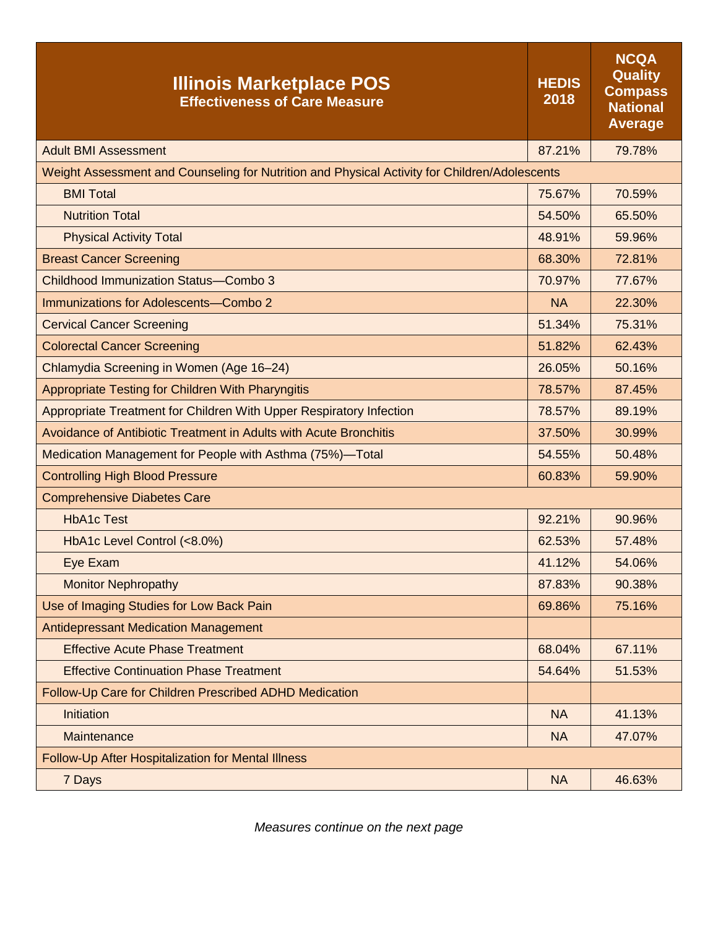| <b>Illinois Marketplace POS</b><br><b>Effectiveness of Care Measure</b>                       | <b>HEDIS</b><br>2018 | <b>NCQA</b><br><b>Quality</b><br><b>Compass</b><br><b>National</b><br><b>Average</b> |
|-----------------------------------------------------------------------------------------------|----------------------|--------------------------------------------------------------------------------------|
| <b>Adult BMI Assessment</b>                                                                   | 87.21%               | 79.78%                                                                               |
| Weight Assessment and Counseling for Nutrition and Physical Activity for Children/Adolescents |                      |                                                                                      |
| <b>BMI Total</b>                                                                              | 75.67%               | 70.59%                                                                               |
| <b>Nutrition Total</b>                                                                        | 54.50%               | 65.50%                                                                               |
| <b>Physical Activity Total</b>                                                                | 48.91%               | 59.96%                                                                               |
| <b>Breast Cancer Screening</b>                                                                | 68.30%               | 72.81%                                                                               |
| Childhood Immunization Status-Combo 3                                                         | 70.97%               | 77.67%                                                                               |
| Immunizations for Adolescents-Combo 2                                                         | <b>NA</b>            | 22.30%                                                                               |
| <b>Cervical Cancer Screening</b>                                                              | 51.34%               | 75.31%                                                                               |
| <b>Colorectal Cancer Screening</b>                                                            | 51.82%               | 62.43%                                                                               |
| Chlamydia Screening in Women (Age 16-24)                                                      | 26.05%               | 50.16%                                                                               |
| Appropriate Testing for Children With Pharyngitis                                             | 78.57%               | 87.45%                                                                               |
| Appropriate Treatment for Children With Upper Respiratory Infection                           | 78.57%               | 89.19%                                                                               |
| Avoidance of Antibiotic Treatment in Adults with Acute Bronchitis                             | 37.50%               | 30.99%                                                                               |
| Medication Management for People with Asthma (75%)-Total                                      | 54.55%               | 50.48%                                                                               |
| <b>Controlling High Blood Pressure</b>                                                        | 60.83%               | 59.90%                                                                               |
| <b>Comprehensive Diabetes Care</b>                                                            |                      |                                                                                      |
| <b>HbA1c Test</b>                                                                             | 92.21%               | 90.96%                                                                               |
| HbA1c Level Control (<8.0%)                                                                   | 62.53%               | 57.48%                                                                               |
| Eye Exam                                                                                      | 41.12%               | 54.06%                                                                               |
| <b>Monitor Nephropathy</b>                                                                    | 87.83%               | 90.38%                                                                               |
| Use of Imaging Studies for Low Back Pain                                                      | 69.86%               | 75.16%                                                                               |
| <b>Antidepressant Medication Management</b>                                                   |                      |                                                                                      |
| <b>Effective Acute Phase Treatment</b>                                                        | 68.04%               | 67.11%                                                                               |
| <b>Effective Continuation Phase Treatment</b>                                                 | 54.64%               | 51.53%                                                                               |
| Follow-Up Care for Children Prescribed ADHD Medication                                        |                      |                                                                                      |
| Initiation                                                                                    | <b>NA</b>            | 41.13%                                                                               |
| Maintenance                                                                                   | <b>NA</b>            | 47.07%                                                                               |
| Follow-Up After Hospitalization for Mental Illness                                            |                      |                                                                                      |
| 7 Days                                                                                        | <b>NA</b>            | 46.63%                                                                               |

*Measures continue on the next page*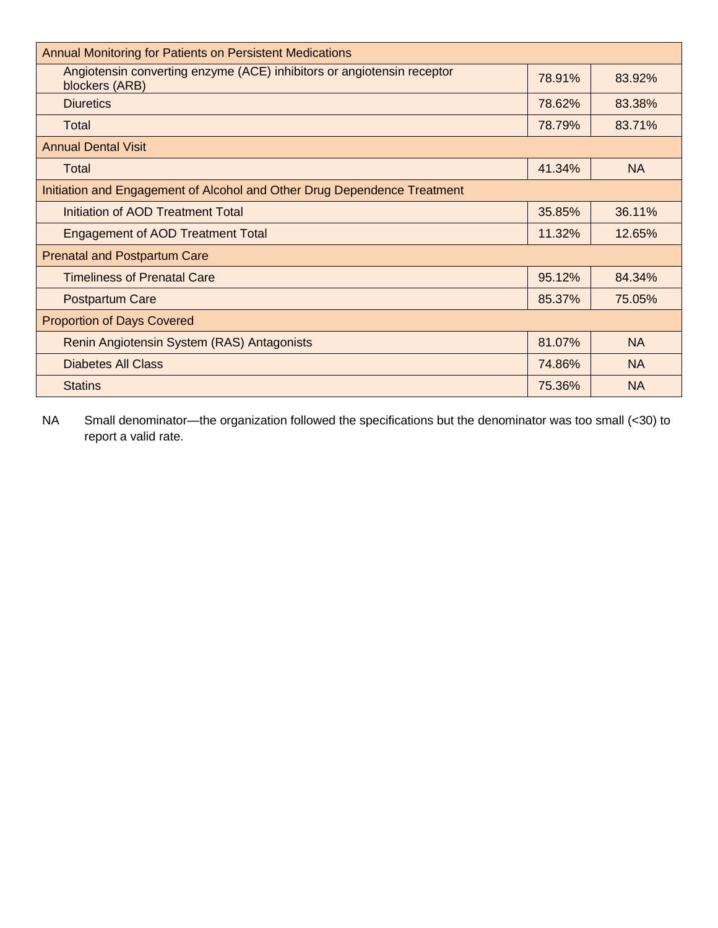| <b>Annual Monitoring for Patients on Persistent Medications</b>                          |        |           |  |  |
|------------------------------------------------------------------------------------------|--------|-----------|--|--|
| Angiotensin converting enzyme (ACE) inhibitors or angiotensin receptor<br>blockers (ARB) | 78.91% | 83.92%    |  |  |
| <b>Diuretics</b>                                                                         | 78.62% | 83.38%    |  |  |
| Total                                                                                    | 78.79% | 83.71%    |  |  |
| <b>Annual Dental Visit</b>                                                               |        |           |  |  |
| Total                                                                                    | 41.34% | <b>NA</b> |  |  |
| Initiation and Engagement of Alcohol and Other Drug Dependence Treatment                 |        |           |  |  |
| Initiation of AOD Treatment Total                                                        | 35.85% | 36.11%    |  |  |
| <b>Engagement of AOD Treatment Total</b>                                                 | 11.32% | 12.65%    |  |  |
| <b>Prenatal and Postpartum Care</b>                                                      |        |           |  |  |
| <b>Timeliness of Prenatal Care</b>                                                       | 95.12% | 84.34%    |  |  |
| <b>Postpartum Care</b>                                                                   | 85.37% | 75.05%    |  |  |
| <b>Proportion of Days Covered</b>                                                        |        |           |  |  |
| Renin Angiotensin System (RAS) Antagonists                                               | 81.07% | <b>NA</b> |  |  |
| <b>Diabetes All Class</b>                                                                | 74.86% | <b>NA</b> |  |  |
| <b>Statins</b>                                                                           | 75.36% | <b>NA</b> |  |  |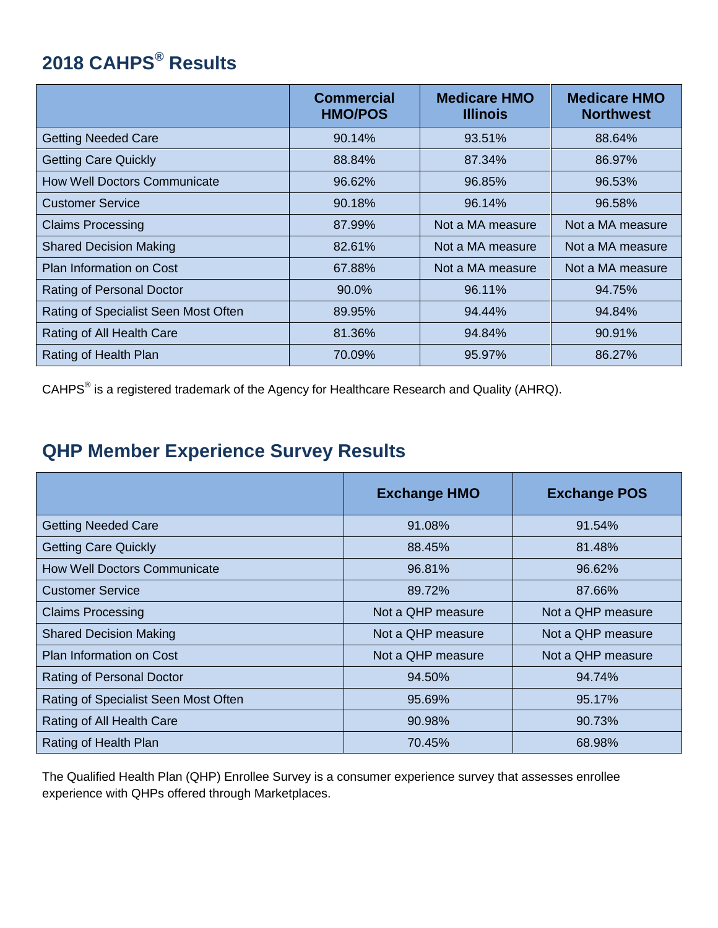## **2018 CAHPS® Results**

|                                      | <b>Commercial</b><br><b>HMO/POS</b> | <b>Medicare HMO</b><br><b>Illinois</b> | <b>Medicare HMO</b><br><b>Northwest</b> |
|--------------------------------------|-------------------------------------|----------------------------------------|-----------------------------------------|
| <b>Getting Needed Care</b>           | 90.14%                              | 93.51%                                 | 88.64%                                  |
| <b>Getting Care Quickly</b>          | 88.84%                              | 87.34%                                 | 86.97%                                  |
| <b>How Well Doctors Communicate</b>  | 96.62%                              | 96.85%                                 | 96.53%                                  |
| <b>Customer Service</b>              | 90.18%                              | 96.14%                                 | 96.58%                                  |
| <b>Claims Processing</b>             | 87.99%                              | Not a MA measure                       | Not a MA measure                        |
| <b>Shared Decision Making</b>        | 82.61%                              | Not a MA measure                       | Not a MA measure                        |
| <b>Plan Information on Cost</b>      | 67.88%                              | Not a MA measure                       | Not a MA measure                        |
| Rating of Personal Doctor            | 90.0%                               | 96.11%                                 | 94.75%                                  |
| Rating of Specialist Seen Most Often | 89.95%                              | 94.44%                                 | 94.84%                                  |
| Rating of All Health Care            | 81.36%                              | 94.84%                                 | 90.91%                                  |
| Rating of Health Plan                | 70.09%                              | 95.97%                                 | 86.27%                                  |

CAHPS $^{\circ}$  is a registered trademark of the Agency for Healthcare Research and Quality (AHRQ).

## **QHP Member Experience Survey Results**

|                                      | <b>Exchange HMO</b> | <b>Exchange POS</b> |
|--------------------------------------|---------------------|---------------------|
| <b>Getting Needed Care</b>           | 91.08%              | 91.54%              |
| <b>Getting Care Quickly</b>          | 88.45%              | 81.48%              |
| <b>How Well Doctors Communicate</b>  | 96.81%              | 96.62%              |
| <b>Customer Service</b>              | 89.72%              | 87.66%              |
| <b>Claims Processing</b>             | Not a QHP measure   | Not a QHP measure   |
| <b>Shared Decision Making</b>        | Not a QHP measure   | Not a QHP measure   |
| <b>Plan Information on Cost</b>      | Not a QHP measure   | Not a QHP measure   |
| Rating of Personal Doctor            | 94.50%              | 94.74%              |
| Rating of Specialist Seen Most Often | 95.69%              | 95.17%              |
| Rating of All Health Care            | 90.98%              | 90.73%              |
| Rating of Health Plan                | 70.45%              | 68.98%              |

The Qualified Health Plan (QHP) Enrollee Survey is a consumer experience survey that assesses enrollee experience with QHPs offered through Marketplaces.